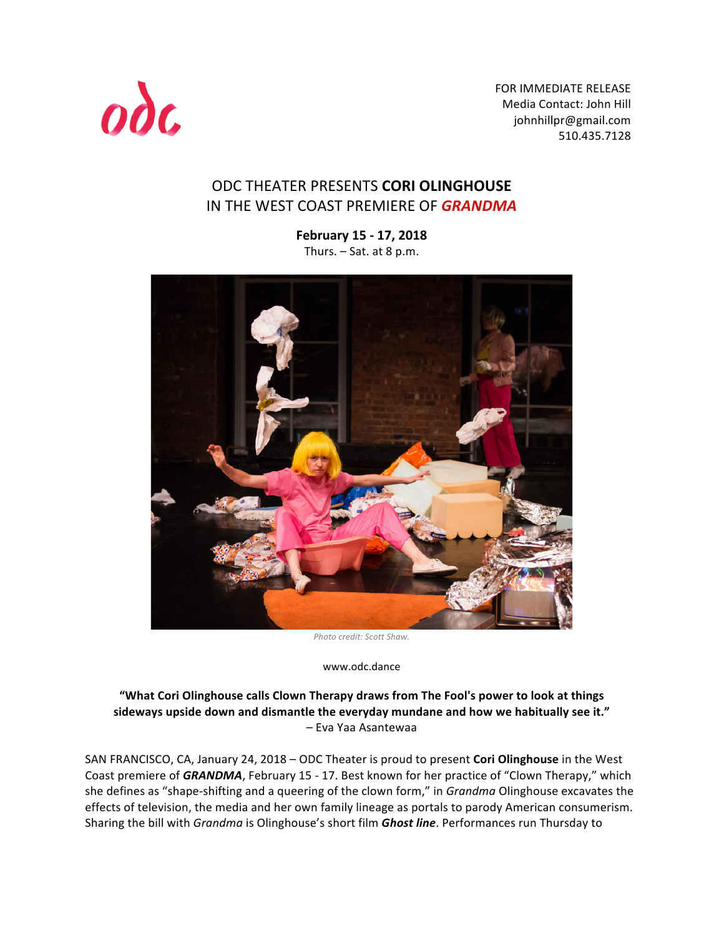

FOR IMMEDIATE RELEASE Media Contact: John Hill johnhillpr@gmail.com 510.435.7128 

# ODC THEATER PRESENTS **CORI OLINGHOUSE** IN THE WEST COAST PREMIERE OF **GRANDMA**

**February 15 - 17, 2018** Thurs.  $-$  Sat. at 8 p.m.



*Photo credit: Scott Shaw.*

www.odc.dance

#### "What Cori Olinghouse calls Clown Therapy draws from The Fool's power to look at things sideways upside down and dismantle the everyday mundane and how we habitually see it." – Eva Yaa Asantewaa

SAN FRANCISCO, CA, January 24, 2018 – ODC Theater is proud to present **Cori Olinghouse** in the West Coast premiere of *GRANDMA*, February 15 - 17. Best known for her practice of "Clown Therapy," which she defines as "shape-shifting and a queering of the clown form," in *Grandma* Olinghouse excavates the effects of television, the media and her own family lineage as portals to parody American consumerism. Sharing the bill with *Grandma* is Olinghouse's short film *Ghost line*. Performances run Thursday to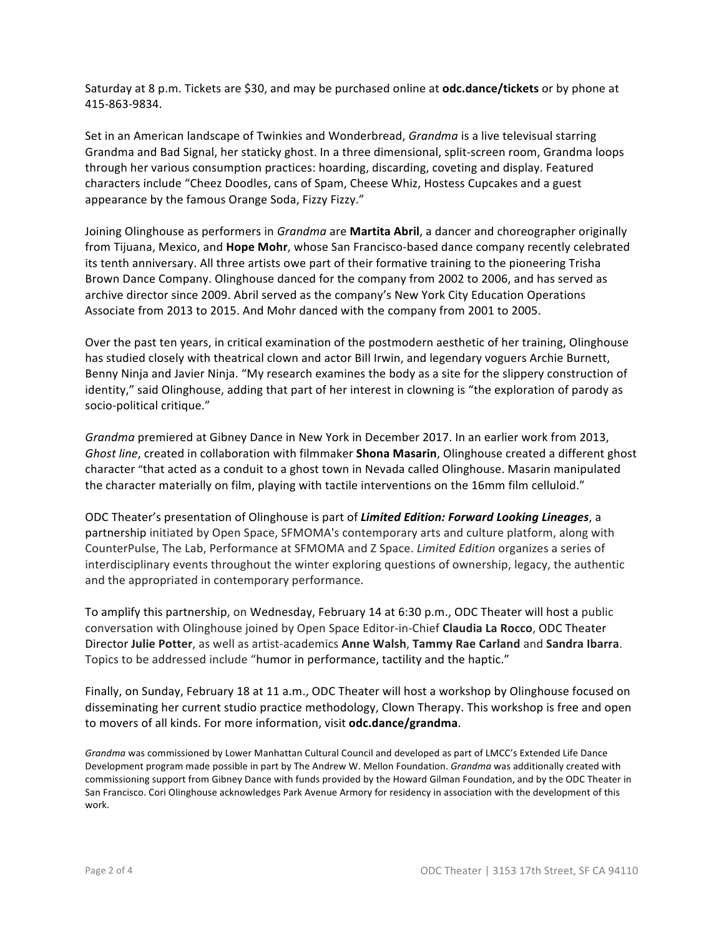Saturday at 8 p.m. Tickets are \$30, and may be purchased online at **odc.dance/tickets** or by phone at 415-863-9834.

Set in an American landscape of Twinkies and Wonderbread, *Grandma* is a live televisual starring Grandma and Bad Signal, her staticky ghost. In a three dimensional, split-screen room, Grandma loops through her various consumption practices: hoarding, discarding, coveting and display. Featured characters include "Cheez Doodles, cans of Spam, Cheese Whiz, Hostess Cupcakes and a guest appearance by the famous Orange Soda, Fizzy Fizzy."

Joining Olinghouse as performers in *Grandma* are **Martita Abril**, a dancer and choreographer originally from Tijuana, Mexico, and **Hope Mohr**, whose San Francisco-based dance company recently celebrated its tenth anniversary. All three artists owe part of their formative training to the pioneering Trisha Brown Dance Company. Olinghouse danced for the company from 2002 to 2006, and has served as archive director since 2009. Abril served as the company's New York City Education Operations Associate from 2013 to 2015. And Mohr danced with the company from 2001 to 2005.

Over the past ten years, in critical examination of the postmodern aesthetic of her training, Olinghouse has studied closely with theatrical clown and actor Bill Irwin, and legendary voguers Archie Burnett, Benny Ninja and Javier Ninja. "My research examines the body as a site for the slippery construction of identity," said Olinghouse, adding that part of her interest in clowning is "the exploration of parody as socio-political critique."

*Grandma* premiered at Gibney Dance in New York in December 2017. In an earlier work from 2013, *Ghost line*, created in collaboration with filmmaker **Shona Masarin**, Olinghouse created a different ghost character "that acted as a conduit to a ghost town in Nevada called Olinghouse. Masarin manipulated the character materially on film, playing with tactile interventions on the 16mm film celluloid."

ODC Theater's presentation of Olinghouse is part of *Limited Edition: Forward Looking Lineages*, a partnership initiated by Open Space, SFMOMA's contemporary arts and culture platform, along with CounterPulse, The Lab, Performance at SFMOMA and Z Space. *Limited Edition* organizes a series of interdisciplinary events throughout the winter exploring questions of ownership, legacy, the authentic and the appropriated in contemporary performance.

To amplify this partnership, on Wednesday, February 14 at 6:30 p.m., ODC Theater will host a public conversation with Olinghouse joined by Open Space Editor-in-Chief Claudia La Rocco, ODC Theater Director **Julie Potter**, as well as artist-academics **Anne Walsh**, **Tammy Rae Carland** and **Sandra Ibarra**. Topics to be addressed include "humor in performance, tactility and the haptic."

Finally, on Sunday, February 18 at 11 a.m., ODC Theater will host a workshop by Olinghouse focused on disseminating her current studio practice methodology, Clown Therapy. This workshop is free and open to movers of all kinds. For more information, visit **odc.dance/grandma**.

*Grandma* was commissioned by Lower Manhattan Cultural Council and developed as part of LMCC's Extended Life Dance Development program made possible in part by The Andrew W. Mellon Foundation. *Grandma* was additionally created with commissioning support from Gibney Dance with funds provided by the Howard Gilman Foundation, and by the ODC Theater in San Francisco. Cori Olinghouse acknowledges Park Avenue Armory for residency in association with the development of this work.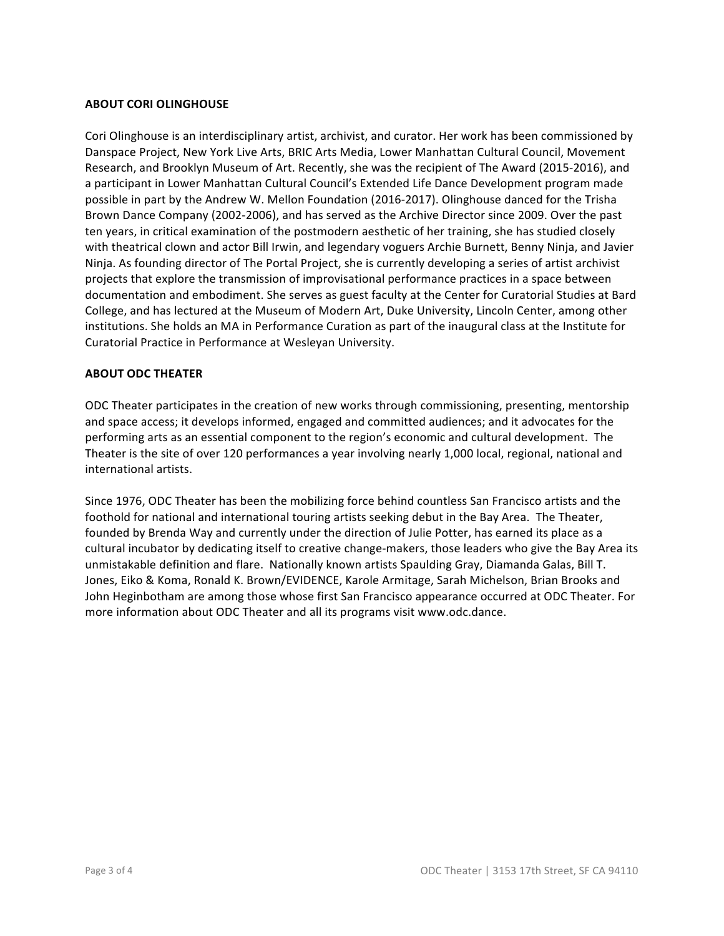#### **ABOUT CORI OLINGHOUSE**

Cori Olinghouse is an interdisciplinary artist, archivist, and curator. Her work has been commissioned by Danspace Project, New York Live Arts, BRIC Arts Media, Lower Manhattan Cultural Council, Movement Research, and Brooklyn Museum of Art. Recently, she was the recipient of The Award (2015-2016), and a participant in Lower Manhattan Cultural Council's Extended Life Dance Development program made possible in part by the Andrew W. Mellon Foundation (2016-2017). Olinghouse danced for the Trisha Brown Dance Company (2002-2006), and has served as the Archive Director since 2009. Over the past ten years, in critical examination of the postmodern aesthetic of her training, she has studied closely with theatrical clown and actor Bill Irwin, and legendary voguers Archie Burnett, Benny Ninja, and Javier Ninja. As founding director of The Portal Project, she is currently developing a series of artist archivist projects that explore the transmission of improvisational performance practices in a space between documentation and embodiment. She serves as guest faculty at the Center for Curatorial Studies at Bard College, and has lectured at the Museum of Modern Art, Duke University, Lincoln Center, among other institutions. She holds an MA in Performance Curation as part of the inaugural class at the Institute for Curatorial Practice in Performance at Wesleyan University.

#### **ABOUT ODC THEATER**

ODC Theater participates in the creation of new works through commissioning, presenting, mentorship and space access; it develops informed, engaged and committed audiences; and it advocates for the performing arts as an essential component to the region's economic and cultural development. The Theater is the site of over 120 performances a year involving nearly 1,000 local, regional, national and international artists.

Since 1976, ODC Theater has been the mobilizing force behind countless San Francisco artists and the foothold for national and international touring artists seeking debut in the Bay Area. The Theater, founded by Brenda Way and currently under the direction of Julie Potter, has earned its place as a cultural incubator by dedicating itself to creative change-makers, those leaders who give the Bay Area its unmistakable definition and flare. Nationally known artists Spaulding Gray, Diamanda Galas, Bill T. Jones, Eiko & Koma, Ronald K. Brown/EVIDENCE, Karole Armitage, Sarah Michelson, Brian Brooks and John Heginbotham are among those whose first San Francisco appearance occurred at ODC Theater. For more information about ODC Theater and all its programs visit www.odc.dance.